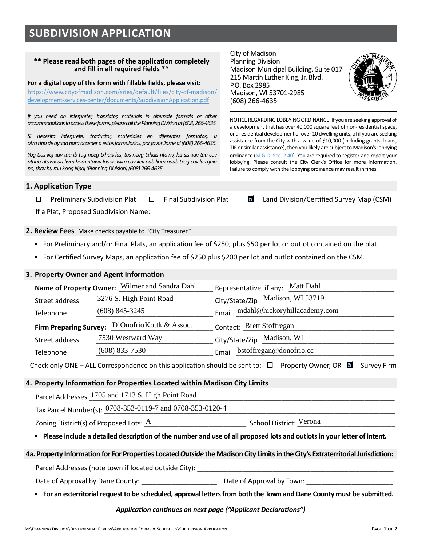# **SUBDIVISION APPLICATION**

#### **\*\* Please read both pages of the application completely and fill in all required fields \*\***

**For a digital copy of this form with fillable fields, please visit:** 

[https://www.cityofmadison.com/sites/default/files/city-of-madison/](https://www.cityofmadison.com/sites/default/files/city-of-madison/development-services-center/documents/SubdivisionApplication.pdf) [development-services-center/documents/SubdivisionApplication.pdf](https://www.cityofmadison.com/sites/default/files/city-of-madison/development-services-center/documents/SubdivisionApplication.pdf)

*If you need an interpreter, translator, materials in alternate formats or other accommodations to access these forms, please call the Planning Division at (608) 266-4635.* 

*Si necesita interprete, traductor, materiales en diferentes formatos, u otro tipo de ayuda para acceder a estos formularios, por favor llame al (608) 266-4635.*

*Yog tias koj xav tau ib tug neeg txhais lus, tus neeg txhais ntawv, los sis xav tau cov ntaub ntawv ua lwm hom ntawv los sis lwm cov kev pab kom paub txog cov lus qhia no, thov hu rau Koog Npaj (Planning Division) (608) 266-4635.*

City of Madison Planning Division Madison Municipal Building, Suite 017 215 Martin Luther King, Jr. Blvd. P.O. Box 2985 Madison, WI 53701-2985 (608) 266-4635



NOTICE REGARDING LOBBYING ORDINANCE: If you are seeking approval of a development that has over 40,000 square feet of non-residential space, or a residential development of over 10 dwelling units, of if you are seeking assistance from the City with a value of \$10,000 (including grants, loans, TIF or similar assistance), then you likely are subject to Madison's lobbying ordinance (M.G.O. [Sec. 2.40](https://library.municode.com/wi/madison/codes/code_of_ordinances?nodeId=COORMAWIVOICH1--10_CH2STRUGOCOCO_2.40LORE)). You are required to register and report your lobbying. Please consult the City Clerk's Office for more information. Failure to comply with the lobbying ordinance may result in fines.

### **1. Application Type**

 $\Box$  Preliminary Subdivision Plat  $\Box$  Final Subdivision Plat  $\Box$  Land Division/Certified Survey Map (CSM)

If a Plat, Proposed Subdivision Name:

**2. Review Fees** Make checks payable to "City Treasurer."

- For Preliminary and/or Final Plats, an application fee of \$250, plus \$50 per lot or outlot contained on the plat.
- For Certified Survey Maps, an application fee of \$250 plus \$200 per lot and outlot contained on the CSM.

#### **3. Property Owner and Agent Information**

|                | Name of Property Owner: Wilmer and Sandra Dahl                         | Representative, if any: Matt Dahl                                                                                       |  |  |
|----------------|------------------------------------------------------------------------|-------------------------------------------------------------------------------------------------------------------------|--|--|
| Street address | 3276 S. High Point Road                                                | City/State/Zip Madison, WI 53719                                                                                        |  |  |
| Telephone      | $(608)$ 845-3245                                                       | Email mdahl@hickoryhillacademy.com                                                                                      |  |  |
|                | Firm Preparing Survey: D'Onofrio Kottk & Assoc.                        | Contact: Brett Stoffregan                                                                                               |  |  |
| Street address | 7530 Westward Way                                                      | City/State/Zip Madison, WI                                                                                              |  |  |
| Telephone      | $(608)$ 833-7530                                                       | Email bstoffregan@donofrio.cc                                                                                           |  |  |
|                |                                                                        | Check only ONE – ALL Correspondence on this application should be sent to: $\Box$ Property Owner, OR $\Box$ Survey Firm |  |  |
|                | Property Information for Properties Located within Madison City Limits |                                                                                                                         |  |  |
|                | Parcel Addresses 1705 and 1713 S. High Point Road                      |                                                                                                                         |  |  |
|                | Tax Parcel Number(s): 0708-353-0119-7 and 0708-353-0120-4              |                                                                                                                         |  |  |
|                | Zoning District(s) of Proposed Lots: $A$                               | School District: Verona                                                                                                 |  |  |

## **4. Property Information for Properties Located within Madison City Limits**

Zoning District(s) of Proposed Lots: \_\_\_\_\_\_\_\_\_\_\_\_\_\_\_\_\_\_\_\_\_\_\_\_\_\_\_ School District: \_\_\_\_\_\_\_\_\_\_\_\_\_\_\_\_\_\_\_\_\_\_\_\_\_\_

**• Please include a detailed description of the number and use of all proposed lots and outlots in your letter of intent.**

#### **4a. Property Information for For Properties Located** *Outside* **the Madison City Limits in the City's Extraterritorial Jurisdiction:**

Parcel Addresses (note town if located outside City): \_\_\_\_\_\_\_\_\_\_\_\_\_\_\_\_\_\_\_\_\_\_\_\_\_\_\_\_\_\_\_\_\_\_\_\_\_\_\_\_\_\_\_\_\_\_\_\_\_\_\_\_

Date of Approval by Dane County: \_\_\_\_\_\_\_\_\_\_\_\_\_\_\_\_\_\_\_\_ Date of Approval by Town: \_\_\_\_\_\_\_\_\_\_\_\_\_\_\_\_\_\_\_\_\_\_\_

**• For an exterritorial request to be scheduled, approval letters from both the Town and Dane County must be submitted.**

#### *Application continues on next page ("Applicant Declarations")*